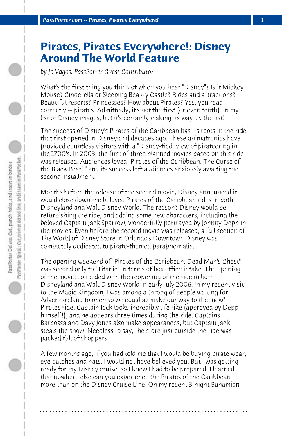## **Pirates, Pirates Everywhere!: Disney Around The World Feature**

*by Jo Vagos, PassPorter Guest Contributor*

What's the first thing you think of when you hear "Disney"? Is it Mickey Mouse? Cinderella or Sleeping Beauty Castle? Rides and attractions? Beautiful resorts? Princesses? How about Pirates? Yes, you read correctly -- pirates. Admittedly, it's not the first (or even tenth) on my list of Disney images, but it's certainly making its way up the list!

The success of Disney's Pirates of the Caribbean has its roots in the ride that first opened in Disneyland decades ago. These animatronics have provided countless visitors with a "Disney-fied" view of pirateering in the 1700's. In 2003, the first of three planned movies based on this ride was released. Audiences loved "Pirates of the Caribbean: The Curse of the Black Pearl," and its success left audiences anxiously awaiting the second installment.

Months before the release of the second movie, Disney announced it would close down the beloved Pirates of the Caribbean rides in both Disneyland and Walt Disney World. The reason? Disney would be refurbishing the ride, and adding some new characters, including the beloved Captain Jack Sparrow, wonderfully portrayed by Johnny Depp in the movies. Even before the second movie was released, a full section of The World of Disney Store in Orlando's Downtown Disney was completely dedicated to pirate-themed paraphernalia.

The opening weekend of "Pirates of the Caribbean: Dead Man's Chest" was second only to "Titanic" in terms of box office intake. The opening of the movie coincided with the reopening of the ride in both Disneyland and Walt Disney World in early July 2006. In my recent visit to the Magic Kingdom, I was among a throng of people waiting for Adventureland to open so we could all make our way to the "new" Pirates ride. Captain Jack looks incredibly life-like (approved by Depp himself!), and he appears three times during the ride. Captains Barbossa and Davy Jones also make appearances, but Captain Jack steals the show. Needless to say, the store just outside the ride was packed full of shoppers.

A few months ago, if you had told me that I would be buying pirate wear, eye patches and hats, I would not have believed you. But I was getting ready for my Disney cruise, so I knew I had to be prepared. I learned that nowhere else can you experience the Pirates of the Caribbean more than on the Disney Cruise Line. On my recent 3-night Bahamian

**. . . . . . . . . . . . . . . . . . . . . . . . . . . . . . . . . . . . . . . . . . . . . . . . . . . . . . . . . . . . . . . . . .**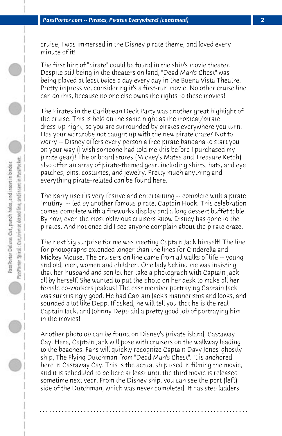cruise, I was immersed in the Disney pirate theme, and loved every minute of it!

The first hint of "pirate" could be found in the ship's movie theater. Despite still being in the theaters on land, "Dead Man's Chest" was being played at least twice a day every day in the Buena Vista Theatre. Pretty impressive, considering it's a first-run movie. No other cruise line can do this, because no one else owns the rights to these movies!

The Pirates in the Caribbean Deck Party was another great highlight of the cruise. This is held on the same night as the tropical/pirate dress-up night, so you are surrounded by pirates everywhere you turn. Has your wardrobe not caught up with the new pirate craze? Not to worry -- Disney offers every person a free pirate bandana to start you on your way (I wish someone had told me this before I purchased my pirate gear)! The onboard stores (Mickey's Mates and Treasure Ketch) also offer an array of pirate-themed gear, including shirts, hats, and eye patches, pins, costumes, and jewelry. Pretty much anything and everything pirate-related can be found here.

The party itself is very festive and entertaining -- complete with a pirate "mutiny" -- led by another famous pirate, Captain Hook. This celebration comes complete with a fireworks display and a long dessert buffet table. By now, even the most oblivious cruisers know Disney has gone to the pirates. And not once did I see anyone complain about the pirate craze.

The next big surprise for me was meeting Captain Jack himself! The line for photographs extended longer than the lines for Cinderella and Mickey Mouse. The cruisers on line came from all walks of life -- young and old, men, women and children. One lady behind me was insisting that her husband and son let her take a photograph with Captain Jack all by herself. She wanted to put the photo on her desk to make all her female co-workers jealous! The cast member portraying Captain Jack was surprisingly good. He had Captain Jack's mannerisms and looks, and sounded a lot like Depp. If asked, he will tell you that he is the real Captain Jack, and Johnny Depp did a pretty good job of portraying him in the movies!

Another photo op can be found on Disney's private island, Castaway Cay. Here, Captain Jack will pose with cruisers on the walkway leading to the beaches. Fans will quickly recognize Captain Davy Jones' ghostly ship, The Flying Dutchman from "Dead Man's Chest". It is anchored here in Castaway Cay. This is the actual ship used in filming the movie, and it is scheduled to be here at least until the third movie is released sometime next year. From the Disney ship, you can see the port (left) side of the Dutchman, which was never completed. It has step ladders

**. . . . . . . . . . . . . . . . . . . . . . . . . . . . . . . . . . . . . . . . . . . . . . . . . . . . . . . . . . . . . . . . . .**